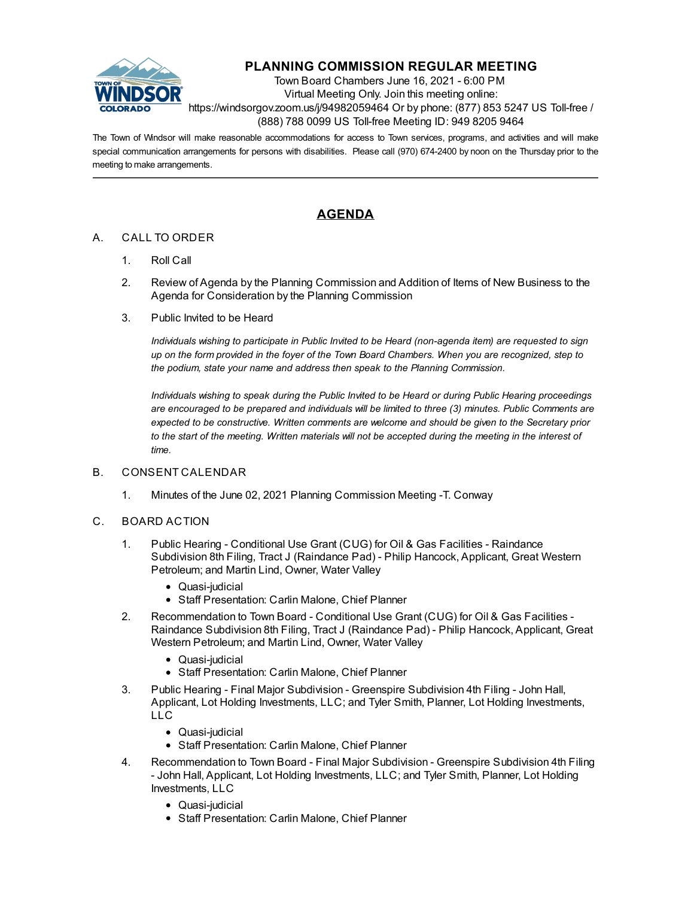

# **PLANNING COMMISSION REGULAR MEETING**

Town Board Chambers June 16, 2021 - 6:00 PM Virtual Meeting Only. Join this meeting online: https://windsorgov.zoom.us/j/94982059464 Or by phone: (877) 853 5247 US Toll-free / (888) 788 0099 US Toll-free Meeting ID: 949 8205 9464

The Town of Windsor will make reasonable accommodations for access to Town services, programs, and activities and will make special communication arrangements for persons with disabilities. Please call (970) 674-2400 by noon on the Thursday prior to the meeting to make arrangements.

## **AGENDA**

#### A. CALL TO ORDER

- 1. Roll Call
- 2. Review of Agenda by the Planning Commission and Addition of Items of New Business to the Agenda for Consideration by the Planning Commission
- 3. Public Invited to be Heard

*Individuals wishing to participate in Public Invited to be Heard (non-agenda item) are requested to sign* up on the form provided in the foyer of the Town Board Chambers. When you are recognized, step to *the podium, state your name and address then speak to the Planning Commission.*

*Individuals wishing to speak during the Public Invited to be Heard or during Public Hearing proceedings are encouraged to be prepared and individuals will be limited to three (3) minutes. Public Comments are expected to be constructive. Written comments are welcome and should be given to the Secretary prior* to the start of the meeting. Written materials will not be accepted during the meeting in the interest of *time.*

#### B. CONSENT CALENDAR

1. Minutes of the June 02, 2021 Planning [Commission](file:///C:/Windows/TEMP/CoverSheet.aspx?ItemID=1467&MeetingID=239) Meeting -T. Conway

#### C. BOARD ACTION

- 1. Public Hearing Conditional Use Grant (CUG) for Oil & Gas Facilities Raindance [Subdivision](file:///C:/Windows/TEMP/CoverSheet.aspx?ItemID=1477&MeetingID=239) 8th Filing, Tract J (Raindance Pad) - Philip Hancock, Applicant, Great Western Petroleum; and Martin Lind, Owner, Water Valley
	- Quasi-judicial
	- Staff Presentation: Carlin Malone, Chief Planner
- 2. [Recommendation](file:///C:/Windows/TEMP/CoverSheet.aspx?ItemID=1478&MeetingID=239) to Town Board Conditional Use Grant (CUG) for Oil & Gas Facilities Raindance Subdivision 8th Filing, Tract J (Raindance Pad) - Philip Hancock, Applicant, Great Western Petroleum; and Martin Lind, Owner, Water Valley
	- Quasi-judicial
	- Staff Presentation: Carlin Malone, Chief Planner
- 3. Public Hearing Final Major Subdivision Greenspire Subdivision 4th Filing John Hall, Applicant, Lot Holding [Investments,](file:///C:/Windows/TEMP/CoverSheet.aspx?ItemID=1479&MeetingID=239) LLC; and Tyler Smith, Planner, Lot Holding Investments, LLC
	- Quasi-judicial
	- Staff Presentation: Carlin Malone, Chief Planner
- 4. [Recommendation](file:///C:/Windows/TEMP/CoverSheet.aspx?ItemID=1480&MeetingID=239) to Town Board Final Major Subdivision Greenspire Subdivision 4th Filing - John Hall, Applicant, Lot Holding Investments, LLC; and Tyler Smith, Planner, Lot Holding Investments, LLC
	- Quasi-judicial
	- Staff Presentation: Carlin Malone, Chief Planner